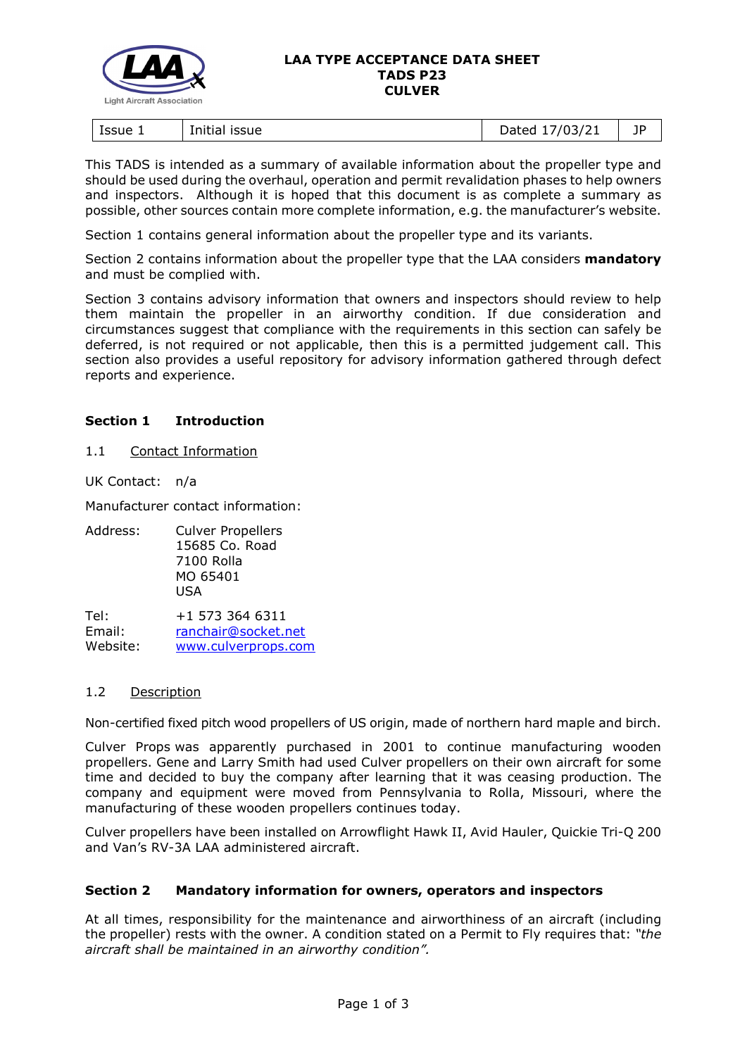

#### **LAA TYPE ACCEPTANCE DATA SHEET TADS P23 CULVER**

| Issue 1<br>issue<br>Initia | //03/21<br>)ated<br>31 Z<br><u>. .</u><br>$-$ ----<br>- | 1D<br><u>. .</u> |
|----------------------------|---------------------------------------------------------|------------------|
|----------------------------|---------------------------------------------------------|------------------|

This TADS is intended as a summary of available information about the propeller type and should be used during the overhaul, operation and permit revalidation phases to help owners and inspectors. Although it is hoped that this document is as complete a summary as possible, other sources contain more complete information, e.g. the manufacturer's website.

Section 1 contains general information about the propeller type and its variants.

Section 2 contains information about the propeller type that the LAA considers **mandatory** and must be complied with.

Section 3 contains advisory information that owners and inspectors should review to help them maintain the propeller in an airworthy condition. If due consideration and circumstances suggest that compliance with the requirements in this section can safely be deferred, is not required or not applicable, then this is a permitted judgement call. This section also provides a useful repository for advisory information gathered through defect reports and experience.

## **Section 1 Introduction**

### 1.1 Contact Information

UK Contact: n/a

Manufacturer contact information:

Address: Culver Propellers 15685 Co. Road 7100 Rolla MO 65401 USA

Tel: +1 573 364 6311 Email: [ranchair@socket.net](mailto:ranchair@socket.net) Website: [www.culverprops.com](http://www.culverprops.com/CulverProps.html)

### 1.2 Description

Non-certified fixed pitch wood propellers of US origin, made of northern hard maple and birch.

Culver Props was apparently purchased in 2001 to continue manufacturing wooden propellers. Gene and Larry Smith had used Culver propellers on their own aircraft for some time and decided to buy the company after learning that it was ceasing production. The company and equipment were moved from Pennsylvania to Rolla, Missouri, where the manufacturing of these wooden propellers continues today.

Culver propellers have been installed on Arrowflight Hawk II, Avid Hauler, Quickie Tri-Q 200 and Van's RV-3A LAA administered aircraft.

### **Section 2 Mandatory information for owners, operators and inspectors**

At all times, responsibility for the maintenance and airworthiness of an aircraft (including the propeller) rests with the owner. A condition stated on a Permit to Fly requires that: *"the aircraft shall be maintained in an airworthy condition".*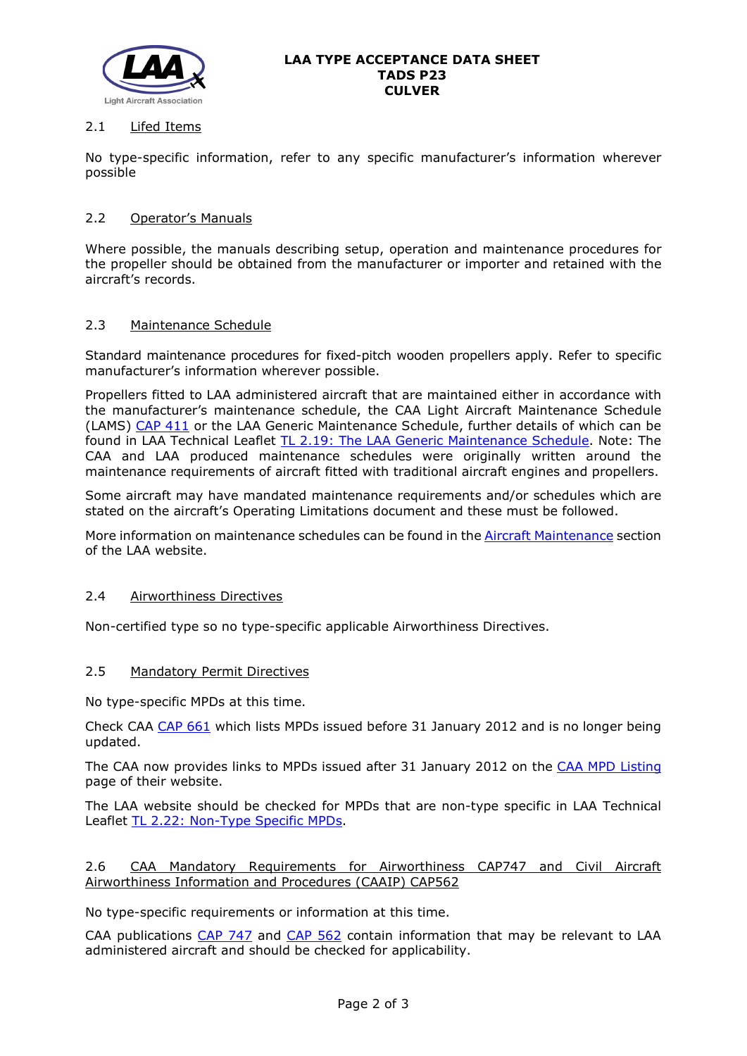

## 2.1 Lifed Items

No type-specific information, refer to any specific manufacturer's information wherever possible

## 2.2 Operator's Manuals

Where possible, the manuals describing setup, operation and maintenance procedures for the propeller should be obtained from the manufacturer or importer and retained with the aircraft's records.

### 2.3 Maintenance Schedule

Standard maintenance procedures for fixed-pitch wooden propellers apply. Refer to specific manufacturer's information wherever possible.

Propellers fitted to LAA administered aircraft that are maintained either in accordance with the manufacturer's maintenance schedule, the CAA Light Aircraft Maintenance Schedule (LAMS) [CAP 411](http://www.caa.co.uk/CAP411) or the LAA Generic Maintenance Schedule, further details of which can be found in LAA Technical Leaflet [TL 2.19: The LAA Generic Maintenance Schedule.](http://www.lightaircraftassociation.co.uk/engineering/TechnicalLeaflets/Operating%20An%20Aircraft/TL%202.19%20The%20LAA%20Generic%20Maintenance%20Schedule.pdf) Note: The CAA and LAA produced maintenance schedules were originally written around the maintenance requirements of aircraft fitted with traditional aircraft engines and propellers.

Some aircraft may have mandated maintenance requirements and/or schedules which are stated on the aircraft's Operating Limitations document and these must be followed.

More information on maintenance schedules can be found in the [Aircraft Maintenance](http://www.lightaircraftassociation.co.uk/engineering/Maintenance/Aircraft_Maintenance.html) section of the LAA website.

### 2.4 Airworthiness Directives

Non-certified type so no type-specific applicable Airworthiness Directives.

### 2.5 Mandatory Permit Directives

No type-specific MPDs at this time.

Check CAA [CAP 661](http://www.caa.co.uk/cap661) which lists MPDs issued before 31 January 2012 and is no longer being updated.

The CAA now provides links to MPDs issued after 31 January 2012 on the [CAA MPD Listing](http://publicapps.caa.co.uk/modalapplication.aspx?appid=11&mode=list&type=sercat&id=55) page of their website.

The LAA website should be checked for MPDs that are non-type specific in LAA Technical Leaflet [TL 2.22: Non-Type Specific MPDs.](http://www.lightaircraftassociation.co.uk/engineering/TechnicalLeaflets/Operating%20An%20Aircraft/TL%202.22%20non-type%20specific%20MPDs.pdf)

### 2.6 CAA Mandatory Requirements for Airworthiness CAP747 and Civil Aircraft Airworthiness Information and Procedures (CAAIP) CAP562

No type-specific requirements or information at this time.

CAA publications [CAP 747](http://www.caa.co.uk/CAP747) and [CAP 562](http://www.caa.co.uk/CAP562) contain information that may be relevant to LAA administered aircraft and should be checked for applicability.